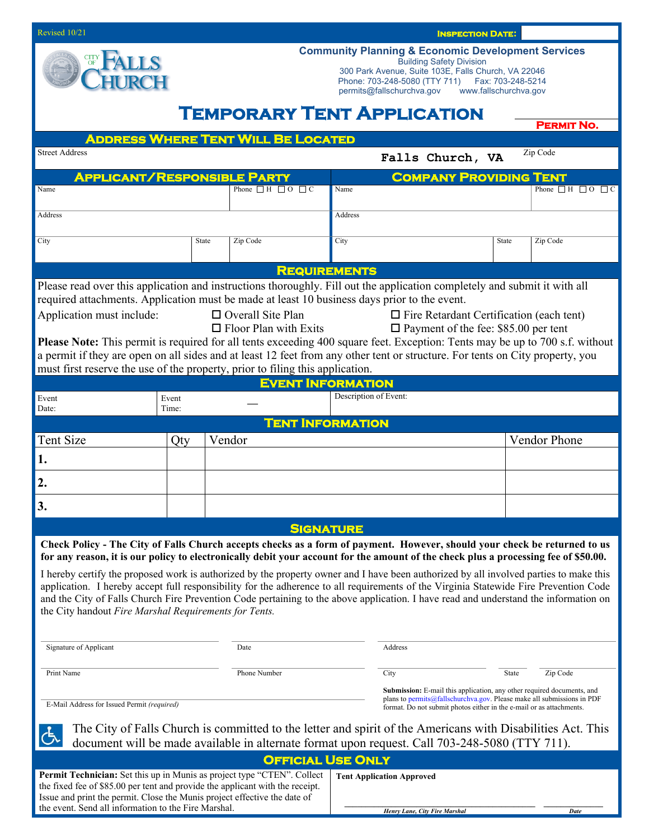| Revised 10/21                                                                                                                                                                                                                                                                                                                                                                                                                                                                                                                                                                                                                                                                                                                                                            |     |         | <b>INSPECTION DATE:</b>  |                                                                                                                                                                                                                                                                     |                                                                                                                                                                                                                                 |       |                                  |
|--------------------------------------------------------------------------------------------------------------------------------------------------------------------------------------------------------------------------------------------------------------------------------------------------------------------------------------------------------------------------------------------------------------------------------------------------------------------------------------------------------------------------------------------------------------------------------------------------------------------------------------------------------------------------------------------------------------------------------------------------------------------------|-----|---------|--------------------------|---------------------------------------------------------------------------------------------------------------------------------------------------------------------------------------------------------------------------------------------------------------------|---------------------------------------------------------------------------------------------------------------------------------------------------------------------------------------------------------------------------------|-------|----------------------------------|
|                                                                                                                                                                                                                                                                                                                                                                                                                                                                                                                                                                                                                                                                                                                                                                          |     |         |                          | <b>Community Planning &amp; Economic Development Services</b><br><b>Building Safety Division</b><br>300 Park Avenue, Suite 103E, Falls Church, VA 22046<br>Phone: 703-248-5080 (TTY 711)    Fax: 703-248-5214<br>permits@fallschurchva.gov<br>www.fallschurchva.gov |                                                                                                                                                                                                                                 |       |                                  |
| <b>TEMPORARY TENT APPLICATION</b>                                                                                                                                                                                                                                                                                                                                                                                                                                                                                                                                                                                                                                                                                                                                        |     |         |                          |                                                                                                                                                                                                                                                                     |                                                                                                                                                                                                                                 |       | <b>PERMIT NO.</b>                |
| <b>ADDRESS WHERE TENT WILL BE LOCATED</b>                                                                                                                                                                                                                                                                                                                                                                                                                                                                                                                                                                                                                                                                                                                                |     |         |                          |                                                                                                                                                                                                                                                                     |                                                                                                                                                                                                                                 |       |                                  |
| <b>Street Address</b><br>Zip Code<br>Falls Church, VA                                                                                                                                                                                                                                                                                                                                                                                                                                                                                                                                                                                                                                                                                                                    |     |         |                          |                                                                                                                                                                                                                                                                     |                                                                                                                                                                                                                                 |       |                                  |
| <b>APPLICANT/RESPONSIBLE PARTY</b><br><b>COMPANY PROVIDING TENT</b>                                                                                                                                                                                                                                                                                                                                                                                                                                                                                                                                                                                                                                                                                                      |     |         |                          |                                                                                                                                                                                                                                                                     |                                                                                                                                                                                                                                 |       |                                  |
| Name                                                                                                                                                                                                                                                                                                                                                                                                                                                                                                                                                                                                                                                                                                                                                                     |     |         |                          | Phone $\Box$ H $\Box$ O $\Box$ C<br>Name                                                                                                                                                                                                                            |                                                                                                                                                                                                                                 |       | Phone $\Box$ H $\Box$ O $\Box$ C |
| Address                                                                                                                                                                                                                                                                                                                                                                                                                                                                                                                                                                                                                                                                                                                                                                  |     | Address |                          |                                                                                                                                                                                                                                                                     |                                                                                                                                                                                                                                 |       |                                  |
| City                                                                                                                                                                                                                                                                                                                                                                                                                                                                                                                                                                                                                                                                                                                                                                     |     | State   | Zip Code                 | City                                                                                                                                                                                                                                                                |                                                                                                                                                                                                                                 | State | Zip Code                         |
|                                                                                                                                                                                                                                                                                                                                                                                                                                                                                                                                                                                                                                                                                                                                                                          |     |         | <b>REQUIREMENTS</b>      |                                                                                                                                                                                                                                                                     |                                                                                                                                                                                                                                 |       |                                  |
| Please read over this application and instructions thoroughly. Fill out the application completely and submit it with all<br>required attachments. Application must be made at least 10 business days prior to the event.<br>$\Box$ Overall Site Plan<br>Application must include:<br>$\Box$ Fire Retardant Certification (each tent)<br>$\Box$ Floor Plan with Exits<br>$\Box$ Payment of the fee: \$85.00 per tent<br>Please Note: This permit is required for all tents exceeding 400 square feet. Exception: Tents may be up to 700 s.f. without<br>a permit if they are open on all sides and at least 12 feet from any other tent or structure. For tents on City property, you<br>must first reserve the use of the property, prior to filing this application.   |     |         |                          |                                                                                                                                                                                                                                                                     |                                                                                                                                                                                                                                 |       |                                  |
|                                                                                                                                                                                                                                                                                                                                                                                                                                                                                                                                                                                                                                                                                                                                                                          |     |         | <b>EVENT INFORMATION</b> |                                                                                                                                                                                                                                                                     |                                                                                                                                                                                                                                 |       |                                  |
| Description of Event:<br>Event<br>Event<br>Date:<br>Time:                                                                                                                                                                                                                                                                                                                                                                                                                                                                                                                                                                                                                                                                                                                |     |         |                          |                                                                                                                                                                                                                                                                     |                                                                                                                                                                                                                                 |       |                                  |
| <b>TENT INFORMATION</b>                                                                                                                                                                                                                                                                                                                                                                                                                                                                                                                                                                                                                                                                                                                                                  |     |         |                          |                                                                                                                                                                                                                                                                     |                                                                                                                                                                                                                                 |       |                                  |
| <b>Tent Size</b>                                                                                                                                                                                                                                                                                                                                                                                                                                                                                                                                                                                                                                                                                                                                                         | Qty | Vendor  |                          |                                                                                                                                                                                                                                                                     |                                                                                                                                                                                                                                 |       | Vendor Phone                     |
| 1.                                                                                                                                                                                                                                                                                                                                                                                                                                                                                                                                                                                                                                                                                                                                                                       |     |         |                          |                                                                                                                                                                                                                                                                     |                                                                                                                                                                                                                                 |       |                                  |
| 2.                                                                                                                                                                                                                                                                                                                                                                                                                                                                                                                                                                                                                                                                                                                                                                       |     |         |                          |                                                                                                                                                                                                                                                                     |                                                                                                                                                                                                                                 |       |                                  |
| 3.                                                                                                                                                                                                                                                                                                                                                                                                                                                                                                                                                                                                                                                                                                                                                                       |     |         |                          |                                                                                                                                                                                                                                                                     |                                                                                                                                                                                                                                 |       |                                  |
| <b>SIGNATURE</b><br>Check Policy - The City of Falls Church accepts checks as a form of payment. However, should your check be returned to us<br>for any reason, it is our policy to electronically debit your account for the amount of the check plus a processing fee of \$50.00.<br>I hereby certify the proposed work is authorized by the property owner and I have been authorized by all involved parties to make this<br>application. I hereby accept full responsibility for the adherence to all requirements of the Virginia Statewide Fire Prevention Code<br>and the City of Falls Church Fire Prevention Code pertaining to the above application. I have read and understand the information on<br>the City handout Fire Marshal Requirements for Tents. |     |         |                          |                                                                                                                                                                                                                                                                     |                                                                                                                                                                                                                                 |       |                                  |
| Signature of Applicant                                                                                                                                                                                                                                                                                                                                                                                                                                                                                                                                                                                                                                                                                                                                                   |     |         | Date                     | Address                                                                                                                                                                                                                                                             |                                                                                                                                                                                                                                 |       |                                  |
| Print Name<br>Phone Number                                                                                                                                                                                                                                                                                                                                                                                                                                                                                                                                                                                                                                                                                                                                               |     |         |                          |                                                                                                                                                                                                                                                                     | Zip Code<br>City<br>State                                                                                                                                                                                                       |       |                                  |
| E-Mail Address for Issued Permit (required)                                                                                                                                                                                                                                                                                                                                                                                                                                                                                                                                                                                                                                                                                                                              |     |         |                          |                                                                                                                                                                                                                                                                     | <b>Submission:</b> E-mail this application, any other required documents, and<br>plans to permits@fallschurchva.gov. Please make all submissions in PDF<br>format. Do not submit photos either in the e-mail or as attachments. |       |                                  |
| The City of Falls Church is committed to the letter and spirit of the Americans with Disabilities Act. This<br>document will be made available in alternate format upon request. Call 703-248-5080 (TTY 711).<br><b>OFFICIAL USE ONLY</b>                                                                                                                                                                                                                                                                                                                                                                                                                                                                                                                                |     |         |                          |                                                                                                                                                                                                                                                                     |                                                                                                                                                                                                                                 |       |                                  |
| Permit Technician: Set this up in Munis as project type "CTEN". Collect<br><b>Tent Application Approved</b><br>the fixed fee of \$85.00 per tent and provide the applicant with the receipt.                                                                                                                                                                                                                                                                                                                                                                                                                                                                                                                                                                             |     |         |                          |                                                                                                                                                                                                                                                                     |                                                                                                                                                                                                                                 |       |                                  |
| Issue and print the permit. Close the Munis project effective the date of<br>the event. Send all information to the Fire Marshal.<br>Henry Lane, City Fire Marshal                                                                                                                                                                                                                                                                                                                                                                                                                                                                                                                                                                                                       |     |         |                          |                                                                                                                                                                                                                                                                     |                                                                                                                                                                                                                                 |       | Date                             |